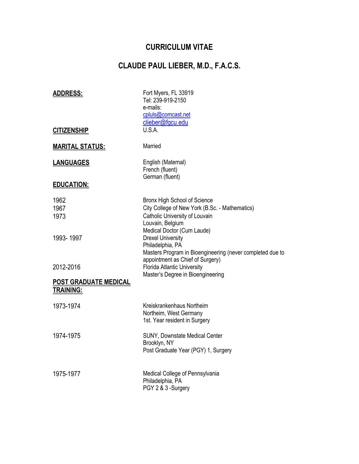# **CURRICULUM VITAE**

# **CLAUDE PAUL LIEBER, M.D., F.A.C.S.**

| <u>ADDRESS:</u><br><u>CITIZENSHIP</u>            | Fort Myers, FL 33919<br>Tel: 239-919-2150<br>e-mails:<br>cpluls@comcast.net<br>clieber@fgcu.edu<br>U.S.A.                                                                   |
|--------------------------------------------------|-----------------------------------------------------------------------------------------------------------------------------------------------------------------------------|
|                                                  |                                                                                                                                                                             |
| <u> MARITAL STATUS:</u>                          | Married                                                                                                                                                                     |
| <u>LANGUAGES</u>                                 | English (Maternal)<br>French (fluent)<br>German (fluent)                                                                                                                    |
| <b>EDUCATION:</b>                                |                                                                                                                                                                             |
| 1962<br>1967<br>1973                             | <b>Bronx High School of Science</b><br>City College of New York (B.Sc. - Mathematics)<br>Catholic University of Louvain<br>Louvain, Belgium                                 |
| 1993-1997                                        | Medical Doctor (Cum Laude)<br><b>Drexel University</b><br>Philadelphia, PA<br>Masters Program in Bioengineering (never completed due to<br>appointment as Chief of Surgery) |
| 2012-2016                                        | <b>Florida Atlantic University</b><br>Master's Degree in Bioengineering                                                                                                     |
| <b>POST GRADUATE MEDICAL</b><br><b>TRAINING:</b> |                                                                                                                                                                             |
| 1973-1974                                        | Kreiskrankenhaus Northeim<br>Northeim, West Germany<br>1st. Year resident in Surgery                                                                                        |
| 1974-1975                                        | SUNY, Downstate Medical Center<br>Brooklyn, NY<br>Post Graduate Year (PGY) 1, Surgery                                                                                       |
| 1975-1977                                        | Medical College of Pennsylvania<br>Philadelphia, PA<br>PGY 2 & 3 -Surgery                                                                                                   |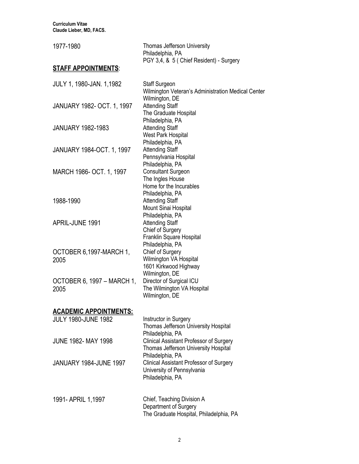**Curriculum Vitae Claude Lieber, MD, FACS.**

| 1977-1980                          | <b>Thomas Jefferson University</b><br>Philadelphia, PA<br>PGY 3,4, & 5 ( Chief Resident) - Surgery                   |
|------------------------------------|----------------------------------------------------------------------------------------------------------------------|
| <u>STAFF APPOINTMENTS:</u>         |                                                                                                                      |
| JULY 1, 1980-JAN. 1,1982           | <b>Staff Surgeon</b><br>Wilmington Veteran's Administration Medical Center                                           |
| JANUARY 1982- OCT. 1, 1997         | Wilmington, DE<br><b>Attending Staff</b><br>The Graduate Hospital                                                    |
| <b>JANUARY 1982-1983</b>           | Philadelphia, PA<br><b>Attending Staff</b><br>West Park Hospital<br>Philadelphia, PA                                 |
| JANUARY 1984-OCT. 1, 1997          | <b>Attending Staff</b><br>Pennsylvania Hospital<br>Philadelphia, PA                                                  |
| MARCH 1986- OCT. 1, 1997           | <b>Consultant Surgeon</b><br>The Ingles House<br>Home for the Incurables<br>Philadelphia, PA                         |
| 1988-1990                          | <b>Attending Staff</b><br>Mount Sinai Hospital<br>Philadelphia, PA                                                   |
| APRIL-JUNE 1991                    | <b>Attending Staff</b><br>Chief of Surgery<br>Franklin Square Hospital<br>Philadelphia, PA                           |
| OCTOBER 6,1997-MARCH 1,<br>2005    | Chief of Surgery<br>Wilmington VA Hospital<br>1601 Kirkwood Highway<br>Wilmington, DE                                |
| OCTOBER 6, 1997 - MARCH 1,<br>2005 | Director of Surgical ICU<br>The Wilmington VA Hospital<br>Wilmington, DE                                             |
| <u> ACADEMIC APPOINTMENTS:</u>     |                                                                                                                      |
| <b>JULY 1980-JUNE 1982</b>         | Instructor in Surgery<br>Thomas Jefferson University Hospital<br>Philadelphia, PA                                    |
| JUNE 1982- MAY 1998                | <b>Clinical Assistant Professor of Surgery</b><br>Thomas Jefferson University Hospital                               |
| JANUARY 1984-JUNE 1997             | Philadelphia, PA<br><b>Clinical Assistant Professor of Surgery</b><br>University of Pennsylvania<br>Philadelphia, PA |
| 1991- APRIL 1,1997                 | Chief, Teaching Division A<br>Department of Surgery<br>The Graduate Hospital, Philadelphia, PA                       |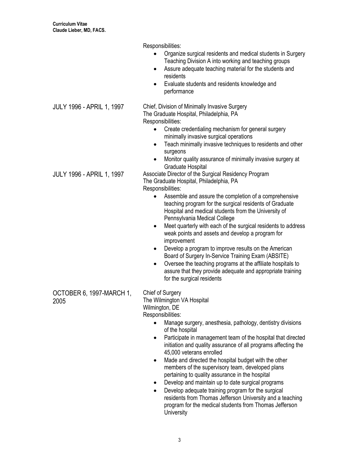Responsibilities: • Organize surgical residents and medical students in Surgery Teaching Division A into working and teaching groups • Assure adequate teaching material for the students and residents • Evaluate students and residents knowledge and performance JULY 1996 - APRIL 1, 1997 Chief, Division of Minimally Invasive Surgery The Graduate Hospital, Philadelphia, PA Responsibilities: • Create credentialing mechanism for general surgery minimally invasive surgical operations • Teach minimally invasive techniques to residents and other surgeons • Monitor quality assurance of minimally invasive surgery at Graduate Hospital JULY 1996 - APRIL 1, 1997 Associate Director of the Surgical Residency Program The Graduate Hospital, Philadelphia, PA Responsibilities: • Assemble and assure the completion of a comprehensive teaching program for the surgical residents of Graduate Hospital and medical students from the University of Pennsylvania Medical College • Meet quarterly with each of the surgical residents to address weak points and assets and develop a program for improvement • Develop a program to improve results on the American Board of Surgery In-Service Training Exam (ABSITE) • Oversee the teaching programs at the affiliate hospitals to assure that they provide adequate and appropriate training for the surgical residents OCTOBER 6, 1997-MARCH 1, 2005 Chief of Surgery The Wilmington VA Hospital Wilmington, DE Responsibilities: Manage surgery, anesthesia, pathology, dentistry divisions of the hospital • Participate in management team of the hospital that directed initiation and quality assurance of all programs affecting the 45,000 veterans enrolled Made and directed the hospital budget with the other members of the supervisory team, developed plans pertaining to quality assurance in the hospital • Develop and maintain up to date surgical programs • Develop adequate training program for the surgical residents from Thomas Jefferson University and a teaching program for the medical students from Thomas Jefferson **University**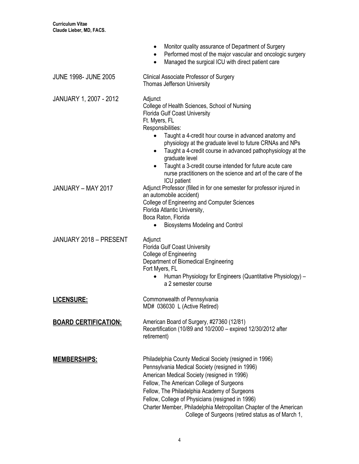|                               | Monitor quality assurance of Department of Surgery<br>Performed most of the major vascular and oncologic surgery<br>Managed the surgical ICU with direct patient care                                                                                                                                                                                                                                                                                                                          |
|-------------------------------|------------------------------------------------------------------------------------------------------------------------------------------------------------------------------------------------------------------------------------------------------------------------------------------------------------------------------------------------------------------------------------------------------------------------------------------------------------------------------------------------|
| <b>JUNE 1998- JUNE 2005</b>   | <b>Clinical Associate Professor of Surgery</b><br><b>Thomas Jefferson University</b>                                                                                                                                                                                                                                                                                                                                                                                                           |
| <b>JANUARY 1, 2007 - 2012</b> | Adjunct<br>College of Health Sciences, School of Nursing<br><b>Florida Gulf Coast University</b><br>Ft. Myers, FL<br>Responsibilities:<br>Taught a 4-credit hour course in advanced anatomy and<br>physiology at the graduate level to future CRNAs and NPs<br>Taught a 4-credit course in advanced pathophysiology at the<br>graduate level<br>Taught a 3-credit course intended for future acute care<br>nurse practitioners on the science and art of the care of the<br><b>ICU</b> patient |
| JANUARY - MAY 2017            | Adjunct Professor (filled in for one semester for professor injured in<br>an automobile accident)<br>College of Engineering and Computer Sciences<br>Florida Atlantic University,<br>Boca Raton, Florida<br><b>Biosystems Modeling and Control</b>                                                                                                                                                                                                                                             |
| JANUARY 2018 - PRESENT        | Adjunct<br><b>Florida Gulf Coast University</b><br>College of Engineering<br>Department of Biomedical Engineering<br>Fort Myers, FL<br>Human Physiology for Engineers (Quantitative Physiology) -<br>a 2 semester course                                                                                                                                                                                                                                                                       |
| <u>LICENSURE:</u>             | Commonwealth of Pennsylvania<br>MD# 036030 L (Active Retired)                                                                                                                                                                                                                                                                                                                                                                                                                                  |
| <b>BOARD CERTIFICATION:</b>   | American Board of Surgery, #27360 (12/81)<br>Recertification (10/89 and 10/2000 - expired 12/30/2012 after<br>retirement)                                                                                                                                                                                                                                                                                                                                                                      |
| <u>MEMBERSHIPS:</u>           | Philadelphia County Medical Society (resigned in 1996)<br>Pennsylvania Medical Society (resigned in 1996)<br>American Medical Society (resigned in 1996)<br>Fellow, The American College of Surgeons<br>Fellow, The Philadelphia Academy of Surgeons<br>Fellow, College of Physicians (resigned in 1996)<br>Charter Member, Philadelphia Metropolitan Chapter of the American<br>College of Surgeons (retired status as of March 1,                                                            |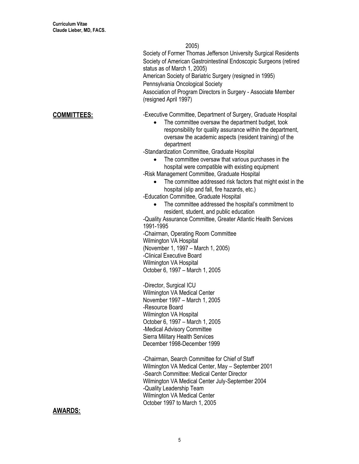2005)

Society of Former Thomas Jefferson University Surgical Residents Society of American Gastrointestinal Endoscopic Surgeons (retired status as of March 1, 2005) American Society of Bariatric Surgery (resigned in 1995)

Pennsylvania Oncological Society

Association of Program Directors in Surgery - Associate Member (resigned April 1997)

**COMMITTEES:** - - - - - - Executive Committee, Department of Surgery, Graduate Hospital

- The committee oversaw the department budget, took responsibility for quality assurance within the department, oversaw the academic aspects (resident training) of the department
- -Standardization Committee, Graduate Hospital
	- The committee oversaw that various purchases in the hospital were compatible with existing equipment

-Risk Management Committee, Graduate Hospital

• The committee addressed risk factors that might exist in the hospital (slip and fall, fire hazards, etc.)

-Education Committee, Graduate Hospital

The committee addressed the hospital's commitment to resident, student, and public education

-Quality Assurance Committee, Greater Atlantic Health Services 1991-1995

-Chairman, Operating Room Committee Wilmington VA Hospital (November 1, 1997 – March 1, 2005) -Clinical Executive Board Wilmington VA Hospital October 6, 1997 – March 1, 2005

-Director, Surgical ICU Wilmington VA Medical Center November 1997 – March 1, 2005 -Resource Board Wilmington VA Hospital October 6, 1997 – March 1, 2005 -Medical Advisory Committee Sierra Military Health Services December 1998-December 1999

-Chairman, Search Committee for Chief of Staff Wilmington VA Medical Center, May – September 2001 -Search Committee: Medical Center Director Wilmington VA Medical Center July-September 2004 -Quality Leadership Team Wilmington VA Medical Center October 1997 to March 1, 2005

### **AWARDS:**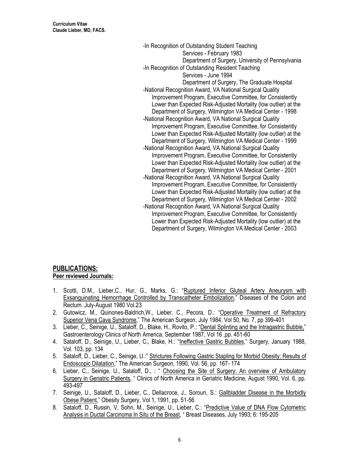**Curriculum Vitae Claude Lieber, MD, FACS.**

> -In Recognition of Outstanding Student Teaching Services - February 1983 Department of Surgery, University of Pennsylvania -In Recognition of Outstanding Resident Teaching Services - June 1994 Department of Surgery, The Graduate Hospital -National Recognition Award, VA National Surgical Quality Improvement Program, Executive Committee, for Consistently Lower than Expected Risk-Adjusted Mortality (low outlier) at the Department of Surgery, Wilmington VA Medical Center - 1998 -National Recognition Award, VA National Surgical Quality Improvement Program, Executive Committee, for Consistently Lower than Expected Risk-Adjusted Mortality (low outlier) at the Department of Surgery, Wilmington VA Medical Center - 1999 -National Recognition Award, VA National Surgical Quality Improvement Program, Executive Committee, for Consistently Lower than Expected Risk-Adjusted Mortality (low outlier) at the Department of Surgery, Wilmington VA Medical Center - 2001 -National Recognition Award, VA National Surgical Quality Improvement Program, Executive Committee, for Consistently Lower than Expected Risk-Adjusted Mortality (low outlier) at the Department of Surgery, Wilmington VA Medical Center - 2002 -National Recognition Award, VA National Surgical Quality Improvement Program, Executive Committee, for Consistently Lower than Expected Risk-Adjusted Mortality (low outlier) at the Department of Surgery, Wilmington VA Medical Center - 2003

#### **PUBLICATIONS: Peer reviewed Journals:**

- 1. Scotti, D.M., Lieber,C., Hur, G., Marks, G.: "Ruptured Inferior Gluteal Artery Aneurysm with Exsanguinating Hemorrhage Controlled by Transcatheter Embolization," Diseases of the Colon and Rectum. July-August 1980 Vol.23
- 2. Gutowicz, M., Quinones-Baldrich,W., Lieber, C., Pecora, D.: "Operative Treatment of Refractory Superior Vena Cava Syndrome," The American Surgeon, July 1984, Vol 50, No. 7, pp 399-401
- 3. Lieber, C., Seinige, U., Sataloff, D., Blake, H., Rovito, P.: "Dental Splinting and the Intragastric Bubble," Gastroenterology Clinics of North America, September 1987, Vol 16 ,pp. 451-60
- 4. Sataloff, D., Seinige, U., Lieber, C., Blake, H.: "Ineffective Gastric Bubbles," Surgery, January 1988, Vol. 103, pp. 134
- 5. Sataloff, D., Lieber, C., Seinige, U.:" Strictures Following Gastric Stapling for Morbid Obesity: Results of Endoscopic Dilatation," The American Surgeon, 1990, Vol. 56, pp. 167- 174
- 6. Lieber, C., Seinige, U., Sataloff, D., : " Choosing the Site of Surgery: An overview of Ambulatory Surgery in Geriatric Patients, " Clinics of North America in Geriatric Medicine, August 1990, Vol. 6, pp. 493-497
- 7. Seinige, U., Sataloff, D., Lieber, C., Dellacroce, J., Sorouri, S.: Gallbladder Disease in the Morbidly Obese Patient," Obesity Surgery, Vol 1, 1991, pp. 51-56
- 8. Sataloff, D., Russin, V, Sohn, M., Seinige, U., Lieber, C.: "Predictive Value of DNA Flow Cytometric Analysis in Ductal Carcinoma In Situ of the Breast, " Breast Diseases, July 1993; 6: 195-205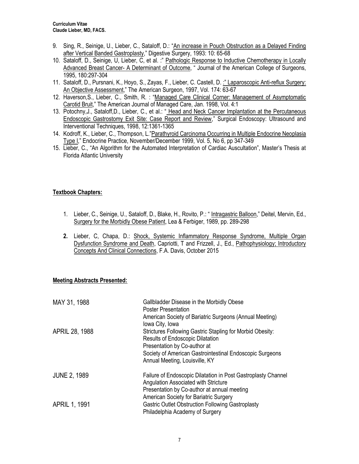- 9. Sing, R., Seinige, U., Lieber, C., Sataloff, D.: "An increase in Pouch Obstruction as a Delayed Finding after Vertical Banded Gastroplasty," Digestive Surgery, 1993: 10: 65-68
- 10. Sataloff, D., Seinige, U, Lieber, C, et al. :" Pathologic Response to Inductive Chemotherapy in Locally Advanced Breast Cancer- A Determinant of Outcome, " Journal of the American College of Surgeons, 1995, 180:297-304
- 11. Sataloff, D., Pursnani, K., Hoyo, S., Zayas, F., Lieber, C. Castell, D. :" Laparoscopic Anti-reflux Surgery: An Objective Assessment," The American Surgeon, 1997, Vol. 174: 63-67
- 12. Haverson,S., Lieber, C., Smith, R. : "Managed Care Clinical Corner: Management of Asymptomatic Carotid Bruit," The American Journal of Managed Care, Jan. 1998, Vol. 4:1
- 13. Potochny, J., Sataloff, D., Lieber, C., et al.: " Head and Neck Cancer Implantation at the Percutaneous Endoscopic Gastrostomy Exit Site: Case Report and Review," Surgical Endoscopy: Ultrasound and Interventional Techniques, 1998, 12:1361-1365
- 14. Kodroff, K., Lieber, C., Thompson, L."Parathyroid Carcinoma Occurring in Multiple Endocrine Neoplasia Type I," Endocrine Practice, November/December 1999, Vol. 5, No 6, pp 347-349
- 15. Lieber, C., "An Algorithm for the Automated Interpretation of Cardiac Auscultation", Master's Thesis at Florida Atlantic University

#### **Textbook Chapters:**

- 1. Lieber, C., Seinige, U., Sataloff, D., Blake, H., Rovito, P.: " Intragastric Balloon," Deitel, Mervin, Ed., Surgery for the Morbidly Obese Patient, Lea & Ferbiger, 1989, pp. 289-298
- **2.** Lieber, C, Chapa, D.: Shock, Systemic Inflammatory Response Syndrome, Multiple Organ Dysfunction Syndrome and Death, Capriotti, T and Frizzell, J., Ed., Pathophysiology; Introductory Concepts And Clinical Connections, F.A. Davis, October 2015

#### **Meeting Abstracts Presented:**

| MAY 31, 1988          | Gallbladder Disease in the Morbidly Obese<br><b>Poster Presentation</b><br>American Society of Bariatric Surgeons (Annual Meeting)                                                                                                                    |
|-----------------------|-------------------------------------------------------------------------------------------------------------------------------------------------------------------------------------------------------------------------------------------------------|
| <b>APRIL 28, 1988</b> | lowa City, Iowa<br>Strictures Following Gastric Stapling for Morbid Obesity:<br><b>Results of Endoscopic Dilatation</b><br>Presentation by Co-author at<br>Society of American Gastrointestinal Endoscopic Surgeons<br>Annual Meeting, Louisville, KY |
| <b>JUNE 2, 1989</b>   | Failure of Endoscopic Dilatation in Post Gastroplasty Channel<br>Angulation Associated with Stricture<br>Presentation by Co-author at annual meeting<br>American Society for Bariatric Surgery                                                        |
| <b>APRIL 1, 1991</b>  | Gastric Outlet Obstruction Following Gastroplasty<br>Philadelphia Academy of Surgery                                                                                                                                                                  |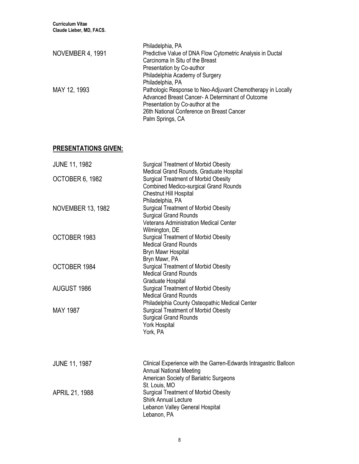| Philadelphia, PA                                            |
|-------------------------------------------------------------|
| Predictive Value of DNA Flow Cytometric Analysis in Ductal  |
| Carcinoma In Situ of the Breast                             |
| Presentation by Co-author                                   |
| Philadelphia Academy of Surgery                             |
| Philadelphia, PA                                            |
| Pathologic Response to Neo-Adjuvant Chemotherapy in Locally |
| Advanced Breast Cancer- A Determinant of Outcome            |
| Presentation by Co-author at the                            |
| 26th National Conference on Breast Cancer                   |
| Palm Springs, CA                                            |
|                                                             |

# **PRESENTATIONS GIVEN:**

| <b>JUNE 11, 1982</b>     | <b>Surgical Treatment of Morbid Obesity</b><br>Medical Grand Rounds, Graduate Hospital                                                                        |
|--------------------------|---------------------------------------------------------------------------------------------------------------------------------------------------------------|
| <b>OCTOBER 6, 1982</b>   | <b>Surgical Treatment of Morbid Obesity</b><br><b>Combined Medico-surgical Grand Rounds</b><br>Chestnut Hill Hospital<br>Philadelphia, PA                     |
| <b>NOVEMBER 13, 1982</b> | <b>Surgical Treatment of Morbid Obesity</b><br><b>Surgical Grand Rounds</b><br><b>Veterans Administration Medical Center</b><br>Wilmington, DE                |
| OCTOBER 1983             | <b>Surgical Treatment of Morbid Obesity</b><br><b>Medical Grand Rounds</b><br>Bryn Mawr Hospital<br>Bryn Mawr, PA                                             |
| OCTOBER 1984             | <b>Surgical Treatment of Morbid Obesity</b><br><b>Medical Grand Rounds</b><br>Graduate Hospital                                                               |
| <b>AUGUST 1986</b>       | Surgical Treatment of Morbid Obesity<br><b>Medical Grand Rounds</b><br>Philadelphia County Osteopathic Medical Center                                         |
| <b>MAY 1987</b>          | <b>Surgical Treatment of Morbid Obesity</b><br><b>Surgical Grand Rounds</b><br>York Hospital<br>York, PA                                                      |
| <b>JUNE 11, 1987</b>     | Clinical Experience with the Garren-Edwards Intragastric Balloon<br><b>Annual National Meeting</b><br>American Society of Bariatric Surgeons<br>St. Louis, MO |
| APRIL 21, 1988           | <b>Surgical Treatment of Morbid Obesity</b><br><b>Shirk Annual Lecture</b><br>Lebanon Valley General Hospital<br>Lebanon, PA                                  |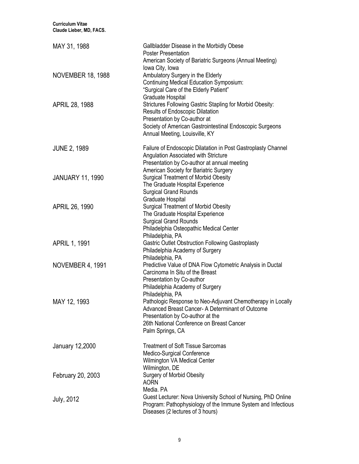| <b>Curriculum Vitae</b><br>Claude Lieber, MD, FACS. |                                                                                                                                                                                                                                    |
|-----------------------------------------------------|------------------------------------------------------------------------------------------------------------------------------------------------------------------------------------------------------------------------------------|
| MAY 31, 1988                                        | Gallbladder Disease in the Morbidly Obese<br><b>Poster Presentation</b><br>American Society of Bariatric Surgeons (Annual Meeting)<br>lowa City, Iowa                                                                              |
| <b>NOVEMBER 18, 1988</b>                            | Ambulatory Surgery in the Elderly<br><b>Continuing Medical Education Symposium:</b><br>"Surgical Care of the Elderly Patient"<br>Graduate Hospital                                                                                 |
| APRIL 28, 1988                                      | Strictures Following Gastric Stapling for Morbid Obesity:<br><b>Results of Endoscopic Dilatation</b><br>Presentation by Co-author at<br>Society of American Gastrointestinal Endoscopic Surgeons<br>Annual Meeting, Louisville, KY |
| <b>JUNE 2, 1989</b>                                 | Failure of Endoscopic Dilatation in Post Gastroplasty Channel<br>Angulation Associated with Stricture<br>Presentation by Co-author at annual meeting<br>American Society for Bariatric Surgery                                     |
| <b>JANUARY 11, 1990</b>                             | <b>Surgical Treatment of Morbid Obesity</b><br>The Graduate Hospital Experience<br><b>Surgical Grand Rounds</b><br>Graduate Hospital                                                                                               |
| APRIL 26, 1990                                      | <b>Surgical Treatment of Morbid Obesity</b><br>The Graduate Hospital Experience<br><b>Surgical Grand Rounds</b><br>Philadelphia Osteopathic Medical Center<br>Philadelphia, PA                                                     |
| APRIL 1, 1991                                       | <b>Gastric Outlet Obstruction Following Gastroplasty</b><br>Philadelphia Academy of Surgery<br>Philadelphia, PA                                                                                                                    |
| NOVEMBER 4, 1991                                    | Predictive Value of DNA Flow Cytometric Analysis in Ductal<br>Carcinoma In Situ of the Breast<br>Presentation by Co-author<br>Philadelphia Academy of Surgery<br>Philadelphia, PA                                                  |
| MAY 12, 1993                                        | Pathologic Response to Neo-Adjuvant Chemotherapy in Locally<br>Advanced Breast Cancer- A Determinant of Outcome<br>Presentation by Co-author at the<br>26th National Conference on Breast Cancer<br>Palm Springs, CA               |
| <b>January 12,2000</b>                              | <b>Treatment of Soft Tissue Sarcomas</b><br>Medico-Surgical Conference<br>Wilmington VA Medical Center<br>Wilmington, DE                                                                                                           |
| February 20, 2003                                   | <b>Surgery of Morbid Obesity</b><br><b>AORN</b><br>Media, PA                                                                                                                                                                       |
| <b>July, 2012</b>                                   | Guest Lecturer: Nova University School of Nursing, PhD Online<br>Program: Pathophysiology of the Immune System and Infectious<br>Diseases (2 lectures of 3 hours)                                                                  |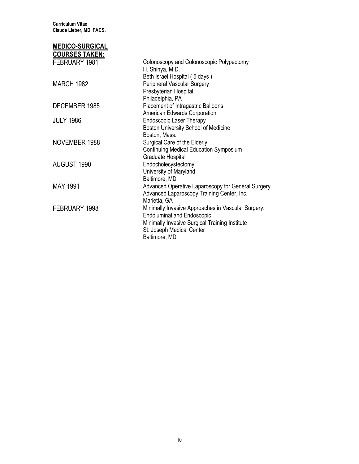**Curriculum Vitae Claude Lieber, MD, FACS.**

## **MEDICO-SURGICAL**

| <u>COURSES TAKEN:</u> |                                                             |
|-----------------------|-------------------------------------------------------------|
| FEBRUARY 1981         | Colonoscopy and Colonoscopic Polypectomy<br>H. Shinya, M.D. |
|                       | Beth Israel Hospital (5 days)                               |
| <b>MARCH 1982</b>     | Peripheral Vascular Surgery                                 |
|                       | Presbyterian Hospital                                       |
|                       | Philadelphia, PA                                            |
| DECEMBER 1985         | Placement of Intragastric Balloons                          |
|                       | American Edwards Corporation                                |
| <b>JULY 1986</b>      | <b>Endoscopic Laser Therapy</b>                             |
|                       | Boston University School of Medicine                        |
|                       | Boston, Mass.                                               |
| NOVEMBER 1988         | Surgical Care of the Elderly                                |
|                       | <b>Continuing Medical Education Symposium</b>               |
|                       | Graduate Hospital                                           |
| AUGUST 1990           | Endocholecystectomy                                         |
|                       | University of Maryland                                      |
|                       | Baltimore, MD                                               |
| <b>MAY 1991</b>       | Advanced Operative Laparoscopy for General Surgery          |
|                       | Advanced Laparoscopy Training Center, Inc.                  |
|                       | Marietta, GA                                                |
| FEBRUARY 1998         | Minimally Invasive Approaches in Vascular Surgery:          |
|                       | <b>Endoluminal and Endoscopic</b>                           |
|                       | Minimally Invasive Surgical Training Institute              |
|                       | St. Joseph Medical Center                                   |
|                       | Baltimore, MD                                               |